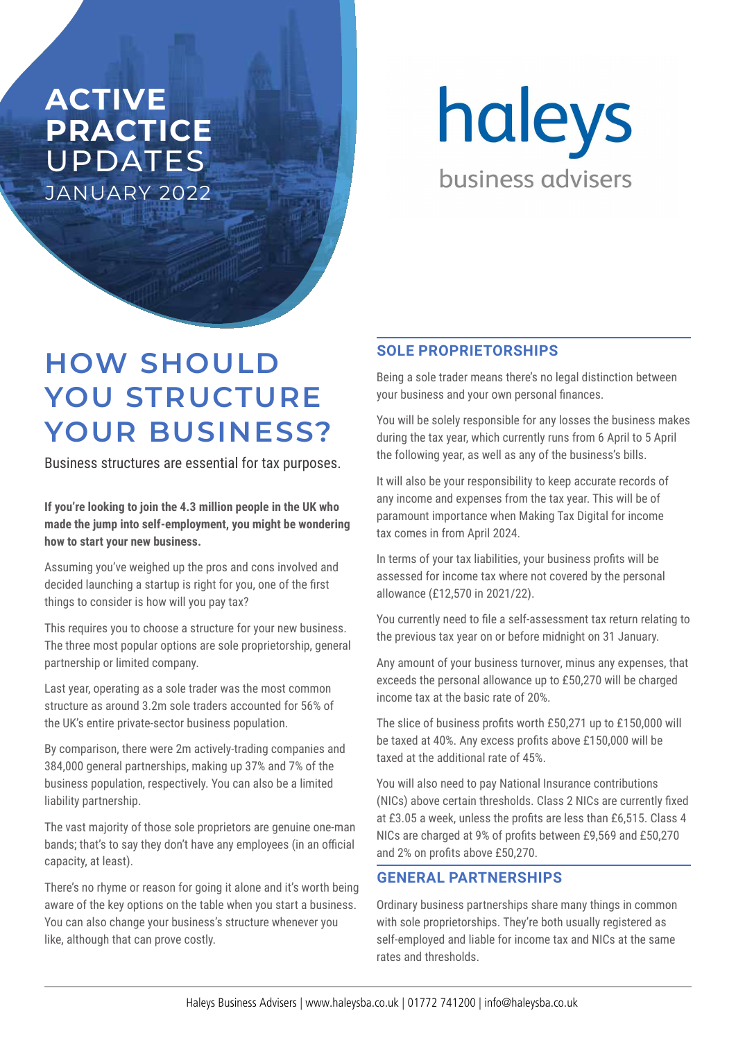## **ACTIVE PRACTICE**  UPDATES JANUARY 2022

haleys business advisers

# **HOW SHOULD YOU STRUCTURE YOUR BUSINESS?**

Business structures are essential for tax purposes.

**If you're looking to join the 4.3 million people in the UK who made the jump into self-employment, you might be wondering how to start your new business.** 

Assuming you've weighed up the pros and cons involved and decided launching a startup is right for you, one of the first things to consider is how will you pay tax?

This requires you to choose a structure for your new business. The three most popular options are sole proprietorship, general partnership or limited company.

Last year, operating as a sole trader was the most common structure as around 3.2m sole traders accounted for 56% of the UK's entire private-sector business population.

By comparison, there were 2m actively-trading companies and 384,000 general partnerships, making up 37% and 7% of the business population, respectively. You can also be a limited liability partnership.

The vast majority of those sole proprietors are genuine one-man bands; that's to say they don't have any employees (in an official capacity, at least).

There's no rhyme or reason for going it alone and it's worth being aware of the key options on the table when you start a business. You can also change your business's structure whenever you like, although that can prove costly.

#### **SOLE PROPRIETORSHIPS**

Being a sole trader means there's no legal distinction between your business and your own personal finances.

You will be solely responsible for any losses the business makes during the tax year, which currently runs from 6 April to 5 April the following year, as well as any of the business's bills.

It will also be your responsibility to keep accurate records of any income and expenses from the tax year. This will be of paramount importance when Making Tax Digital for income tax comes in from April 2024.

In terms of your tax liabilities, your business profits will be assessed for income tax where not covered by the personal allowance (£12,570 in 2021/22).

You currently need to file a self-assessment tax return relating to the previous tax year on or before midnight on 31 January.

Any amount of your business turnover, minus any expenses, that exceeds the personal allowance up to £50,270 will be charged income tax at the basic rate of 20%.

The slice of business profits worth £50,271 up to £150,000 will be taxed at 40%. Any excess profits above £150,000 will be taxed at the additional rate of 45%.

You will also need to pay National Insurance contributions (NICs) above certain thresholds. Class 2 NICs are currently fixed at £3.05 a week, unless the profits are less than £6,515. Class 4 NICs are charged at 9% of profits between £9,569 and £50,270 and 2% on profits above £50,270.

#### **GENERAL PARTNERSHIPS**

Ordinary business partnerships share many things in common with sole proprietorships. They're both usually registered as self-employed and liable for income tax and NICs at the same rates and thresholds.